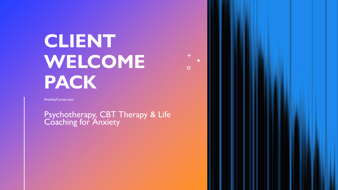# **CLIENT WELCOME PACK**

AnxietyCurse.com

Psychotherapy, CBT Therapy & Life Coaching for Anxiety

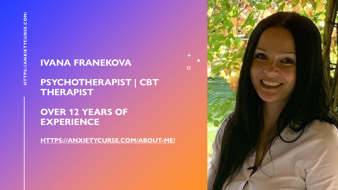#### **IVANA FRANEKOVA**

#### **PSYCHOTHERAPIST | CBT THERAPIST**

#### **OVER 12 YEARS OF EXPERIENCE**

**[HTTPS://ANXIETYCURSE.COM/ABOUT-ME/](https://anxietycurse.com/about-me/)**



 $\overline{O}$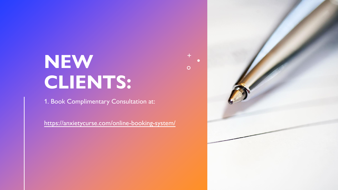## **NEW CLIENTS:**

1. Book Complimentary Consultation at:

<https://anxietycurse.com/online-booking-system/>



 $+$ 

 $\overline{O}$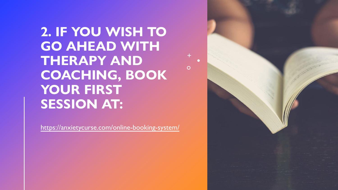**2. IF YOU WISH TO GO AHEAD WITH THERAPY AND COACHING, BOOK**  YOUR FIRST **SESSION AT:**

 $\overline{O}$ 

<https://anxietycurse.com/online-booking-system/>

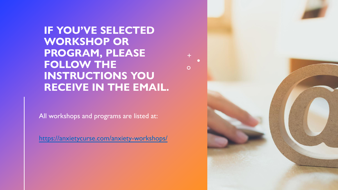**IF YOU'VE SELECTED WORKSHOP OR PROGRAM, PLEASE FOLLOW THE INSTRUCTIONS YOU RECEIVE IN THE EMAIL.**

 $\overline{O}$ 

All workshops and programs are listed at:

<https://anxietycurse.com/anxiety-workshops/>

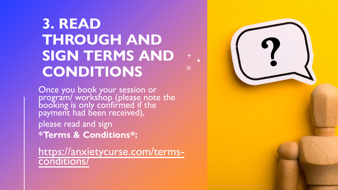### **3. READ THROUGH AND SIGN TERMS AND CONDITIONS**

 $\bigcirc$ 

Once you book your session or program/ workshop (please note the booking is only confirmed if the payment had been received), please read and sign **\*Terms & Conditions\*:**

[https://anxietycurse.com/terms](https://anxietycurse.com/terms-conditions/)conditions/

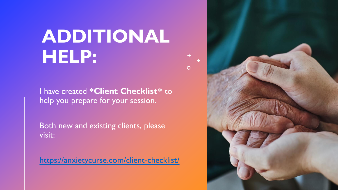# **ADDITIONAL HELP:**

 $+$ 

 $\overline{O}$ 

I have created **\*Client Checklist\*** to help you prepare for your session.

Both new and existing clients, please visit:

<https://anxietycurse.com/client-checklist/>

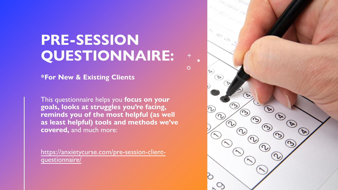### **PRE-SESSION QUESTIONNAIRE:**

 $\overline{O}$ 

**\*For New & Existing Clients**

This questionnaire helps you **focus on your goals, looks at struggles you're facing, reminds you of the most helpful (as well as least helpful) tools and methods we've covered,** and much more:

[https://anxietycurse.com/pre-session-client](https://anxietycurse.com/pre-session-client-questionnaire/)questionnaire/

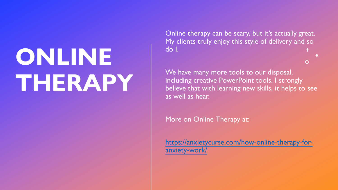# **ONLINE THERAPY**

Online therapy can be scary, but it's actually great. My clients truly enjoy this style of delivery and so do I.

We have many more tools to our disposal, including creative PowerPoint tools. I strongly believe that with learning new skills, it helps to see as well as hear.

 $\bigcirc$ 

More on Online Therapy at:

[https://anxietycurse.com/how-online-therapy-for](https://anxietycurse.com/how-online-therapy-for-anxiety-work/)anxiety-work/